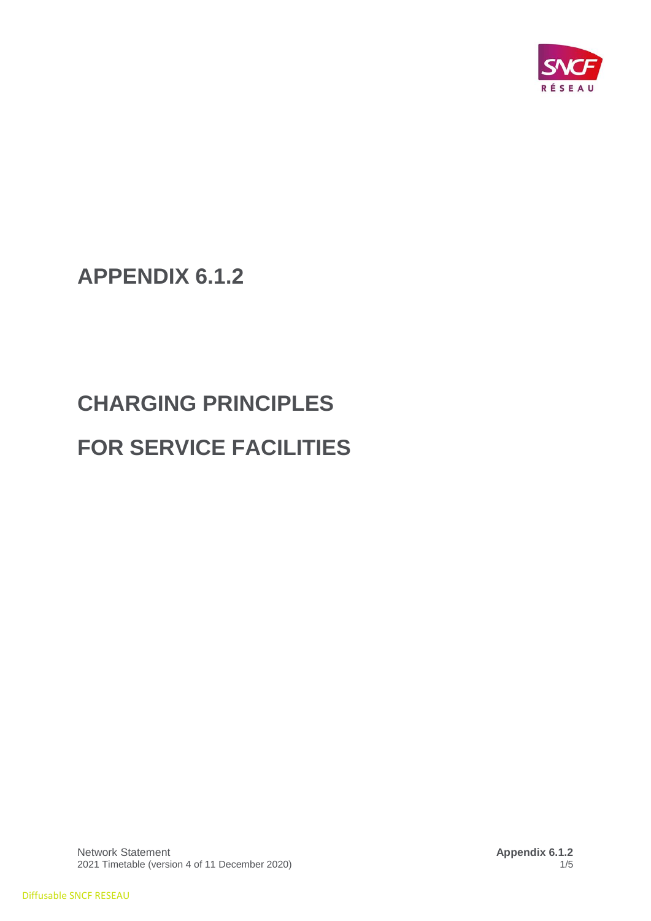

**APPENDIX 6.1.2**

# **CHARGING PRINCIPLES FOR SERVICE FACILITIES**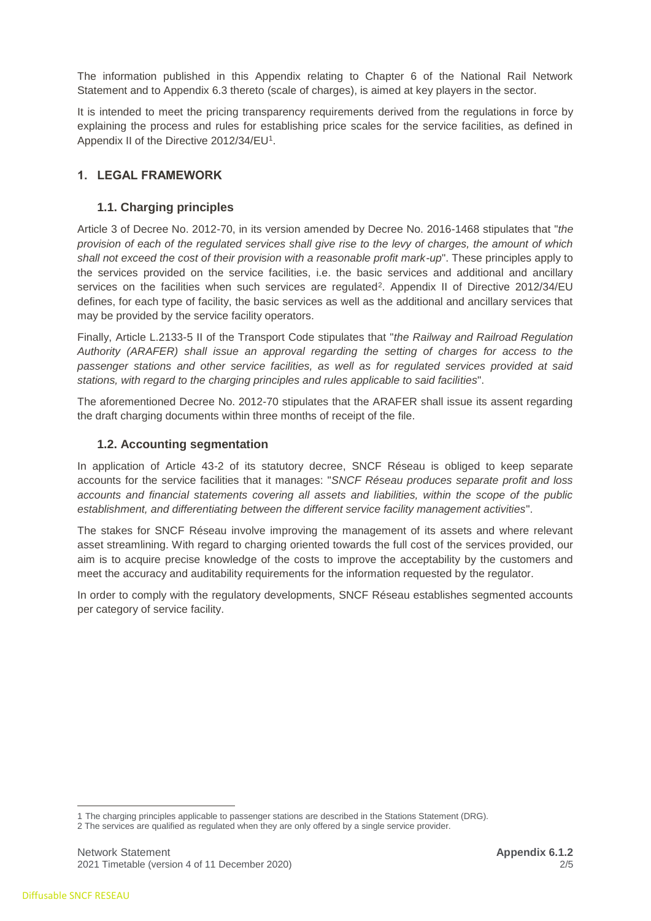The information published in this Appendix relating to Chapter 6 of the National Rail Network Statement and to Appendix 6.3 thereto (scale of charges), is aimed at key players in the sector.

It is intended to meet the pricing transparency requirements derived from the regulations in force by explaining the process and rules for establishing price scales for the service facilities, as defined in Appendix II of the Directive 2012/34/EU<sup>1</sup>.

# **1. LEGAL FRAMEWORK**

## **1.1. Charging principles**

Article 3 of Decree No. 2012-70, in its version amended by Decree No. 2016-1468 stipulates that "*the provision of each of the regulated services shall give rise to the levy of charges, the amount of which shall not exceed the cost of their provision with a reasonable profit mark-up*". These principles apply to the services provided on the service facilities, i.e. the basic services and additional and ancillary services on the facilities when such services are regulated<sup>2</sup>. Appendix II of Directive 2012/34/EU defines, for each type of facility, the basic services as well as the additional and ancillary services that may be provided by the service facility operators.

Finally, Article L.2133-5 II of the Transport Code stipulates that "*the Railway and Railroad Regulation Authority (ARAFER) shall issue an approval regarding the setting of charges for access to the passenger stations and other service facilities, as well as for regulated services provided at said stations, with regard to the charging principles and rules applicable to said facilities*".

The aforementioned Decree No. 2012-70 stipulates that the ARAFER shall issue its assent regarding the draft charging documents within three months of receipt of the file.

## **1.2. Accounting segmentation**

In application of Article 43-2 of its statutory decree, SNCF Réseau is obliged to keep separate accounts for the service facilities that it manages: "*SNCF Réseau produces separate profit and loss accounts and financial statements covering all assets and liabilities, within the scope of the public establishment, and differentiating between the different service facility management activities*".

The stakes for SNCF Réseau involve improving the management of its assets and where relevant asset streamlining. With regard to charging oriented towards the full cost of the services provided, our aim is to acquire precise knowledge of the costs to improve the acceptability by the customers and meet the accuracy and auditability requirements for the information requested by the regulator.

In order to comply with the regulatory developments, SNCF Réseau establishes segmented accounts per category of service facility.

 $\overline{a}$ 

<sup>1</sup> The charging principles applicable to passenger stations are described in the Stations Statement (DRG).

<sup>2</sup> The services are qualified as regulated when they are only offered by a single service provider.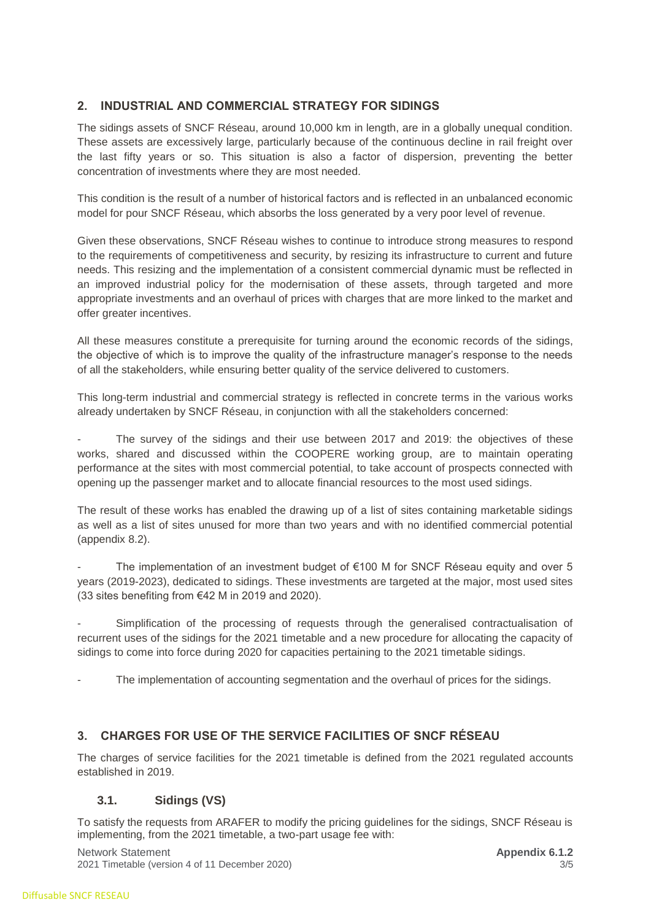# **2. INDUSTRIAL AND COMMERCIAL STRATEGY FOR SIDINGS**

The sidings assets of SNCF Réseau, around 10,000 km in length, are in a globally unequal condition. These assets are excessively large, particularly because of the continuous decline in rail freight over the last fifty years or so. This situation is also a factor of dispersion, preventing the better concentration of investments where they are most needed.

This condition is the result of a number of historical factors and is reflected in an unbalanced economic model for pour SNCF Réseau, which absorbs the loss generated by a very poor level of revenue.

Given these observations, SNCF Réseau wishes to continue to introduce strong measures to respond to the requirements of competitiveness and security, by resizing its infrastructure to current and future needs. This resizing and the implementation of a consistent commercial dynamic must be reflected in an improved industrial policy for the modernisation of these assets, through targeted and more appropriate investments and an overhaul of prices with charges that are more linked to the market and offer greater incentives.

All these measures constitute a prerequisite for turning around the economic records of the sidings, the objective of which is to improve the quality of the infrastructure manager's response to the needs of all the stakeholders, while ensuring better quality of the service delivered to customers.

This long-term industrial and commercial strategy is reflected in concrete terms in the various works already undertaken by SNCF Réseau, in conjunction with all the stakeholders concerned:

The survey of the sidings and their use between 2017 and 2019; the objectives of these works, shared and discussed within the COOPERE working group, are to maintain operating performance at the sites with most commercial potential, to take account of prospects connected with opening up the passenger market and to allocate financial resources to the most used sidings.

The result of these works has enabled the drawing up of a list of sites containing marketable sidings as well as a list of sites unused for more than two years and with no identified commercial potential (appendix 8.2).

The implementation of an investment budget of  $€100$  M for SNCF Réseau equity and over 5 years (2019-2023), dedicated to sidings. These investments are targeted at the major, most used sites (33 sites benefiting from €42 M in 2019 and 2020).

Simplification of the processing of requests through the generalised contractualisation of recurrent uses of the sidings for the 2021 timetable and a new procedure for allocating the capacity of sidings to come into force during 2020 for capacities pertaining to the 2021 timetable sidings.

The implementation of accounting segmentation and the overhaul of prices for the sidings.

# **3. CHARGES FOR USE OF THE SERVICE FACILITIES OF SNCF RÉSEAU**

The charges of service facilities for the 2021 timetable is defined from the 2021 regulated accounts established in 2019.

## **3.1. Sidings (VS)**

To satisfy the requests from ARAFER to modify the pricing guidelines for the sidings, SNCF Réseau is implementing, from the 2021 timetable, a two-part usage fee with:

Network Statement **Appendix 6.1.2 Appendix 6.1.2 Appendix 6.1.2** 2021 Timetable (version 4 of 11 December 2020) 3/5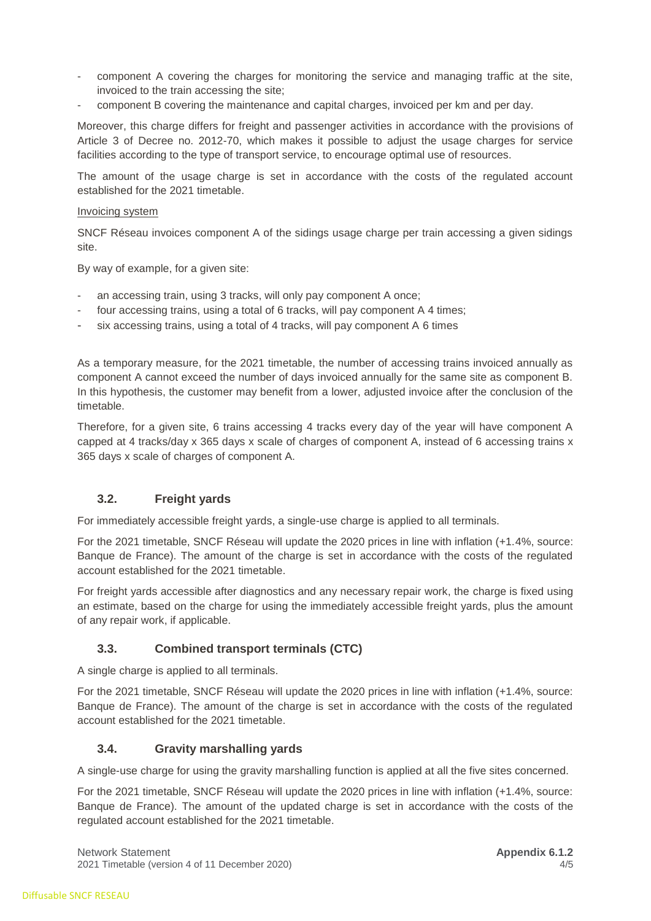- component A covering the charges for monitoring the service and managing traffic at the site, invoiced to the train accessing the site;
- component B covering the maintenance and capital charges, invoiced per km and per day.

Moreover, this charge differs for freight and passenger activities in accordance with the provisions of Article 3 of Decree no. 2012-70, which makes it possible to adjust the usage charges for service facilities according to the type of transport service, to encourage optimal use of resources.

The amount of the usage charge is set in accordance with the costs of the regulated account established for the 2021 timetable.

#### Invoicing system

SNCF Réseau invoices component A of the sidings usage charge per train accessing a given sidings site.

By way of example, for a given site:

- an accessing train, using 3 tracks, will only pay component A once;
- four accessing trains, using a total of 6 tracks, will pay component A 4 times;
- six accessing trains, using a total of 4 tracks, will pay component A 6 times

As a temporary measure, for the 2021 timetable, the number of accessing trains invoiced annually as component A cannot exceed the number of days invoiced annually for the same site as component B. In this hypothesis, the customer may benefit from a lower, adjusted invoice after the conclusion of the timetable.

Therefore, for a given site, 6 trains accessing 4 tracks every day of the year will have component A capped at 4 tracks/day x 365 days x scale of charges of component A, instead of 6 accessing trains x 365 days x scale of charges of component A.

#### **3.2. Freight yards**

For immediately accessible freight yards, a single-use charge is applied to all terminals.

For the 2021 timetable, SNCF Réseau will update the 2020 prices in line with inflation (+1.4%, source: Banque de France). The amount of the charge is set in accordance with the costs of the regulated account established for the 2021 timetable.

For freight yards accessible after diagnostics and any necessary repair work, the charge is fixed using an estimate, based on the charge for using the immediately accessible freight yards, plus the amount of any repair work, if applicable.

## **3.3. Combined transport terminals (CTC)**

A single charge is applied to all terminals.

For the 2021 timetable, SNCF Réseau will update the 2020 prices in line with inflation (+1.4%, source: Banque de France). The amount of the charge is set in accordance with the costs of the regulated account established for the 2021 timetable.

## **3.4. Gravity marshalling yards**

A single-use charge for using the gravity marshalling function is applied at all the five sites concerned.

For the 2021 timetable, SNCF Réseau will update the 2020 prices in line with inflation (+1.4%, source: Banque de France). The amount of the updated charge is set in accordance with the costs of the regulated account established for the 2021 timetable.